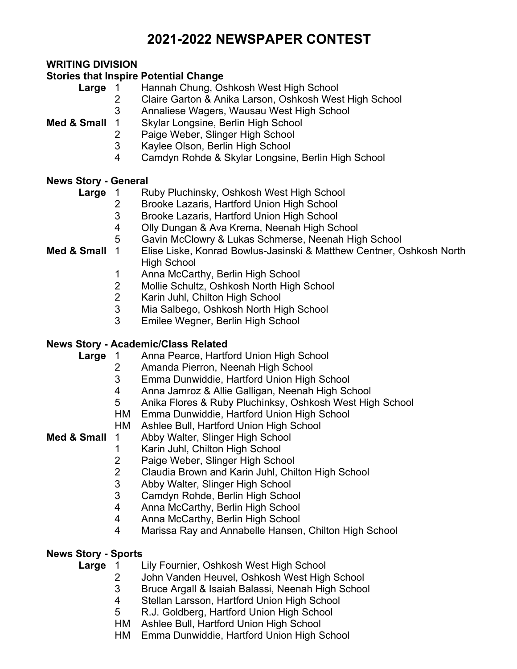# **2021-2022 NEWSPAPER CONTEST**

# **WRITING DIVISION**

## **Stories that Inspire Potential Change**

- **Large** 1 Hannah Chung, Oshkosh West High School
	- Claire Garton & Anika Larson, Oshkosh West High School
	- Annaliese Wagers, Wausau West High School

# **Med & Small** 1 Skylar Longsine, Berlin High School

- Paige Weber, Slinger High School
- Kaylee Olson, Berlin High School
- Camdyn Rohde & Skylar Longsine, Berlin High School

# **News Story - General**

- **Large** 1 Ruby Pluchinsky, Oshkosh West High School
	- Brooke Lazaris, Hartford Union High School
	- Brooke Lazaris, Hartford Union High School
	- Olly Dungan & Ava Krema, Neenah High School
	- Gavin McClowry & Lukas Schmerse, Neenah High School
- **Med & Small** 1 Elise Liske, Konrad Bowlus-Jasinski & Matthew Centner, Oshkosh North High School
	- Anna McCarthy, Berlin High School
	- Mollie Schultz, Oshkosh North High School
	- Karin Juhl, Chilton High School
	- Mia Salbego, Oshkosh North High School
	- Emilee Wegner, Berlin High School

# **News Story - Academic/Class Related**

- Large 1 Anna Pearce, Hartford Union High School
	- Amanda Pierron, Neenah High School
	- Emma Dunwiddie, Hartford Union High School
	- Anna Jamroz & Allie Galligan, Neenah High School
	- Anika Flores & Ruby Pluchinksy, Oshkosh West High School
	- HM Emma Dunwiddie, Hartford Union High School
	- HM Ashlee Bull, Hartford Union High School
- **Med & Small** 1 Abby Walter, Slinger High School
	- Karin Juhl, Chilton High School
	- Paige Weber, Slinger High School
	- Claudia Brown and Karin Juhl, Chilton High School
	- Abby Walter, Slinger High School
	- Camdyn Rohde, Berlin High School
	- Anna McCarthy, Berlin High School
	- Anna McCarthy, Berlin High School
	- Marissa Ray and Annabelle Hansen, Chilton High School

# **News Story - Sports**

- **Large** 1 Lily Fournier, Oshkosh West High School
	- John Vanden Heuvel, Oshkosh West High School
	- Bruce Argall & Isaiah Balassi, Neenah High School
	- Stellan Larsson, Hartford Union High School
	- R.J. Goldberg, Hartford Union High School
	- HM Ashlee Bull, Hartford Union High School
	- HM Emma Dunwiddie, Hartford Union High School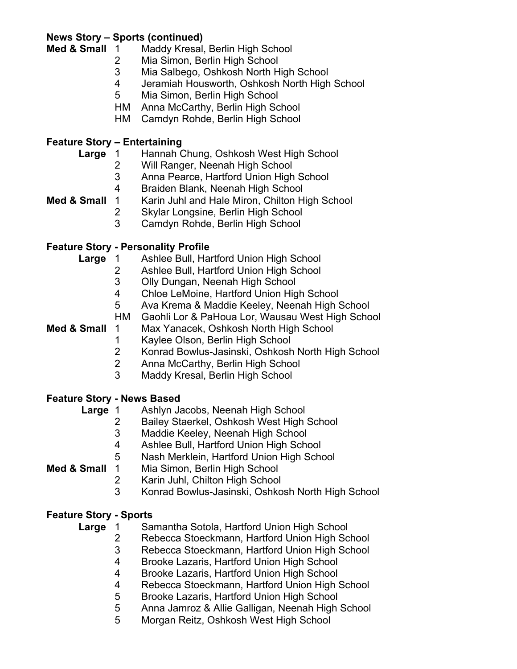# **News Story – Sports (continued)**

- **Med & Small** 1 Maddy Kresal, Berlin High School
	- Mia Simon, Berlin High School
	- Mia Salbego, Oshkosh North High School
	- Jeramiah Housworth, Oshkosh North High School
	- Mia Simon, Berlin High School
	- HM Anna McCarthy, Berlin High School
	- HM Camdyn Rohde, Berlin High School

## **Feature Story – Entertaining**

- Large 1 Hannah Chung, Oshkosh West High School
	- Will Ranger, Neenah High School
	- Anna Pearce, Hartford Union High School
	- Braiden Blank, Neenah High School
- **Med & Small** 1 Karin Juhl and Hale Miron, Chilton High School
	- Skylar Longsine, Berlin High School
	- Camdyn Rohde, Berlin High School

# **Feature Story - Personality Profile**

- Large 1 Ashlee Bull, Hartford Union High School
	- Ashlee Bull, Hartford Union High School
	- Olly Dungan, Neenah High School
	- Chloe LeMoine, Hartford Union High School
	- Ava Krema & Maddie Keeley, Neenah High School
	- HM Gaohli Lor & PaHoua Lor, Wausau West High School
- **Med & Small** 1 Max Yanacek, Oshkosh North High School
	- Kaylee Olson, Berlin High School
	- Konrad Bowlus-Jasinski, Oshkosh North High School
	- Anna McCarthy, Berlin High School
	- Maddy Kresal, Berlin High School

# **Feature Story - News Based**

- **Large** 1 Ashlyn Jacobs, Neenah High School
	- Bailey Staerkel, Oshkosh West High School
	- Maddie Keeley, Neenah High School
	- Ashlee Bull, Hartford Union High School
	- Nash Merklein, Hartford Union High School

**Med & Small** 1 Mia Simon, Berlin High School

- Karin Juhl, Chilton High School
- Konrad Bowlus-Jasinski, Oshkosh North High School

# **Feature Story - Sports**

 **Large** 1 Samantha Sotola, Hartford Union High School

- Rebecca Stoeckmann, Hartford Union High School
- Rebecca Stoeckmann, Hartford Union High School
- Brooke Lazaris, Hartford Union High School
- Brooke Lazaris, Hartford Union High School
- Rebecca Stoeckmann, Hartford Union High School
- Brooke Lazaris, Hartford Union High School
- Anna Jamroz & Allie Galligan, Neenah High School
- Morgan Reitz, Oshkosh West High School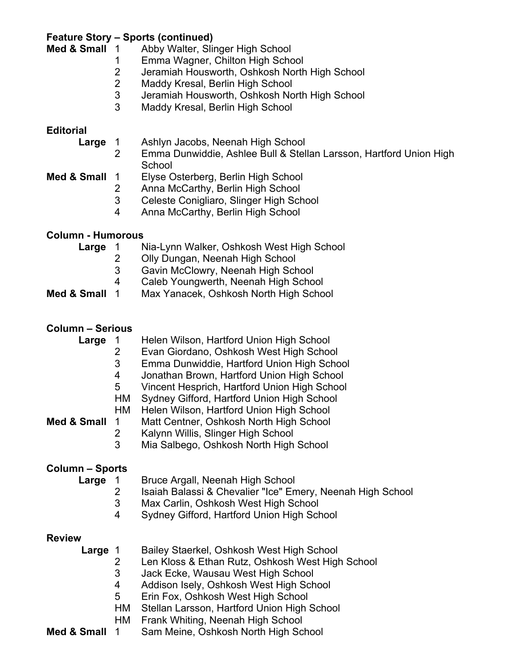# **Feature Story – Sports (continued)**

- Abby Walter, Slinger High School
- 1 Emma Wagner, Chilton High School<br>2 Jeramiah Housworth, Oshkosh North
- Jeramiah Housworth, Oshkosh North High School
- 2 Maddy Kresal, Berlin High School
- 3 Jeramiah Housworth, Oshkosh North High School
- 3 Maddy Kresal, Berlin High School

### **Editorial**

| Large         |   | Ashlyn Jacobs, Neenah High School                                  |  |  |  |
|---------------|---|--------------------------------------------------------------------|--|--|--|
|               |   | Emma Dunwiddie, Ashlee Bull & Stellan Larsson, Hartford Union High |  |  |  |
|               |   | School                                                             |  |  |  |
| Med & Small 1 |   | Elyse Osterberg, Berlin High School                                |  |  |  |
|               |   | Anna McCarthy, Berlin High School                                  |  |  |  |
|               | 3 | Celeste Conigliaro, Slinger High School                            |  |  |  |
|               | 4 | Anna McCarthy, Berlin High School                                  |  |  |  |
|               |   |                                                                    |  |  |  |

# **Column - Humorous**

| Large       |    | Nia-Lynn Walker, Oshkosh West High School |
|-------------|----|-------------------------------------------|
|             |    | Olly Dungan, Neenah High School           |
|             | 3  | Gavin McClowry, Neenah High School        |
|             | 4  | Caleb Youngwerth, Neenah High School      |
| Med & Small | 1. | Max Yanacek, Oshkosh North High School    |
|             |    |                                           |

#### **Column – Serious**

| Large<br>Med & Small | $\mathbf 1$<br>$\overline{2}$<br>3<br>4<br>5<br>HМ<br>НM<br>1<br>$\mathbf{2}$ | Helen Wilson, Hartford Union High School<br>Evan Giordano, Oshkosh West High School<br>Emma Dunwiddie, Hartford Union High School<br>Jonathan Brown, Hartford Union High School<br>Vincent Hesprich, Hartford Union High School<br>Sydney Gifford, Hartford Union High School<br>Helen Wilson, Hartford Union High School<br>Matt Centner, Oshkosh North High School<br>Kalynn Willis, Slinger High School |
|----------------------|-------------------------------------------------------------------------------|------------------------------------------------------------------------------------------------------------------------------------------------------------------------------------------------------------------------------------------------------------------------------------------------------------------------------------------------------------------------------------------------------------|
|                      | 3                                                                             | Mia Salbego, Oshkosh North High School                                                                                                                                                                                                                                                                                                                                                                     |
| Column – Sports      |                                                                               |                                                                                                                                                                                                                                                                                                                                                                                                            |
| <b>Large</b> 1       | 2<br>3<br>4                                                                   | Bruce Argall, Neenah High School<br>Isaiah Balassi & Chevalier "Ice" Emery, Neenah High School<br>Max Carlin, Oshkosh West High School<br>Sydney Gifford, Hartford Union High School                                                                                                                                                                                                                       |
| <b>Review</b>        |                                                                               |                                                                                                                                                                                                                                                                                                                                                                                                            |
| <b>Large</b> 1       | 2<br>3<br>4<br>5<br>HM<br>НM                                                  | Bailey Staerkel, Oshkosh West High School<br>Len Kloss & Ethan Rutz, Oshkosh West High School<br>Jack Ecke, Wausau West High School<br>Addison Isely, Oshkosh West High School<br>Erin Fox, Oshkosh West High School<br>Stellan Larsson, Hartford Union High School<br>Frank Whiting, Neenah High School                                                                                                   |

**Med & Small** 1 Sam Meine, Oshkosh North High School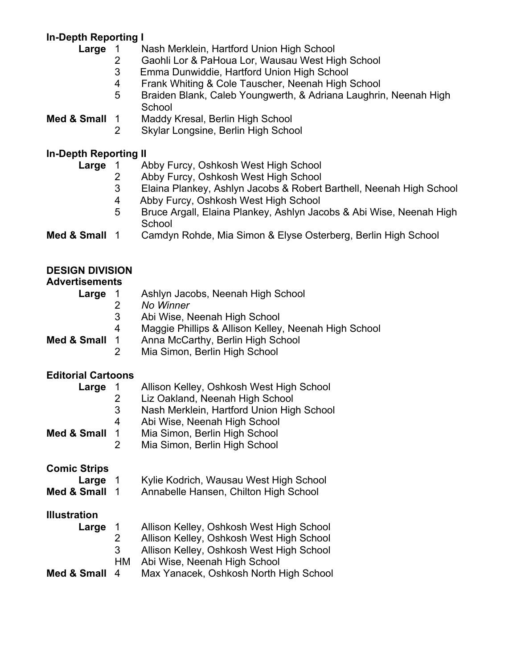# **In-Depth Reporting I**

- **Nash Merklein, Hartford Union High School** 
	- 2 Gaohli Lor & PaHoua Lor, Wausau West High School<br>3 Emma Dunwiddie, Hartford Union High School
	- 3 Emma Dunwiddie, Hartford Union High School
	- 4 Frank Whiting & Cole Tauscher, Neenah High School
	- 5 Braiden Blank, Caleb Youngwerth, & Adriana Laughrin, Neenah High **School**
- **Med & Small** 1 Maddy Kresal, Berlin High School
	- 2 Skylar Longsine, Berlin High School

# **In-Depth Reporting II**

| Large       |   | Abby Furcy, Oshkosh West High School                                          |
|-------------|---|-------------------------------------------------------------------------------|
|             |   | Abby Furcy, Oshkosh West High School                                          |
|             | 3 | Elaina Plankey, Ashlyn Jacobs & Robert Barthell, Neenah High School           |
|             | 4 | Abby Furcy, Oshkosh West High School                                          |
|             | 5 | Bruce Argall, Elaina Plankey, Ashlyn Jacobs & Abi Wise, Neenah High<br>School |
| Med & Small |   | Camdyn Rohde, Mia Simon & Elyse Osterberg, Berlin High School                 |
|             |   |                                                                               |
|             |   |                                                                               |

| <b>DESIGN DIVISION</b><br><b>Advertisements</b> |    |                                                      |
|-------------------------------------------------|----|------------------------------------------------------|
| Large                                           |    | Ashlyn Jacobs, Neenah High School                    |
|                                                 |    | No Winner                                            |
|                                                 | 3  | Abi Wise, Neenah High School                         |
|                                                 | 4  | Maggie Phillips & Allison Kelley, Neenah High School |
| Med & Small                                     | -1 | Anna McCarthy, Berlin High School                    |
|                                                 |    | Mia Simon, Berlin High School                        |

#### **Editorial Cartoons**

| Large<br>Med & Small                        | 1<br>2<br>3<br>4<br>1<br>2 | Allison Kelley, Oshkosh West High School<br>Liz Oakland, Neenah High School<br>Nash Merklein, Hartford Union High School<br>Abi Wise, Neenah High School<br>Mia Simon, Berlin High School<br>Mia Simon, Berlin High School |
|---------------------------------------------|----------------------------|----------------------------------------------------------------------------------------------------------------------------------------------------------------------------------------------------------------------------|
| <b>Comic Strips</b><br>Large<br>Med & Small | $\overline{1}$<br>- 1      | Kylie Kodrich, Wausau West High School<br>Annabelle Hansen, Chilton High School                                                                                                                                            |
| <b>Illustration</b><br>Large<br>Med & Small | 1<br>2<br>3<br>HM<br>4     | Allison Kelley, Oshkosh West High School<br>Allison Kelley, Oshkosh West High School<br>Allison Kelley, Oshkosh West High School<br>Abi Wise, Neenah High School<br>Max Yanacek, Oshkosh North High School                 |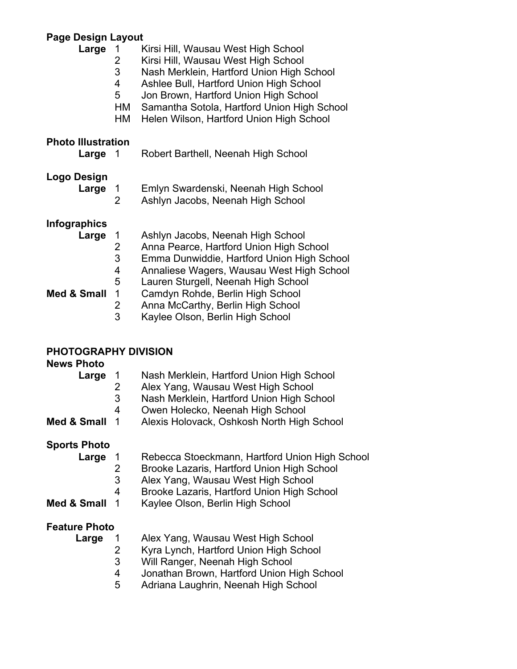# **Page Design Layout**

| 1<br>2<br>3<br>4<br>5<br>HM<br>HM            | Kirsi Hill, Wausau West High School<br>Kirsi Hill, Wausau West High School<br>Nash Merklein, Hartford Union High School<br>Ashlee Bull, Hartford Union High School<br>Jon Brown, Hartford Union High School<br>Samantha Sotola, Hartford Union High School<br>Helen Wilson, Hartford Union High School                      |
|----------------------------------------------|-----------------------------------------------------------------------------------------------------------------------------------------------------------------------------------------------------------------------------------------------------------------------------------------------------------------------------|
| <b>Photo Illustration</b><br>1               | Robert Barthell, Neenah High School                                                                                                                                                                                                                                                                                         |
| 1<br>2                                       | Emlyn Swardenski, Neenah High School<br>Ashlyn Jacobs, Neenah High School                                                                                                                                                                                                                                                   |
| 1<br>2<br>3<br>4<br>5<br>1<br>$\overline{2}$ | Ashlyn Jacobs, Neenah High School<br>Anna Pearce, Hartford Union High School<br>Emma Dunwiddie, Hartford Union High School<br>Annaliese Wagers, Wausau West High School<br>Lauren Sturgell, Neenah High School<br>Camdyn Rohde, Berlin High School<br>Anna McCarthy, Berlin High School<br>Kaylee Olson, Berlin High School |
|                                              | 3                                                                                                                                                                                                                                                                                                                           |

# **PHOTOGRAPHY DIVISION**

| <b>News Photo</b>    |                   |                                                                                 |
|----------------------|-------------------|---------------------------------------------------------------------------------|
| Large                | $\mathbf{1}$<br>2 | Nash Merklein, Hartford Union High School<br>Alex Yang, Wausau West High School |
|                      | 3                 | Nash Merklein, Hartford Union High School                                       |
|                      | 4                 |                                                                                 |
| Med & Small          | $\mathbf 1$       | Owen Holecko, Neenah High School<br>Alexis Holovack, Oshkosh North High School  |
| <b>Sports Photo</b>  |                   |                                                                                 |
| Large                | $\mathbf{1}$      | Rebecca Stoeckmann, Hartford Union High School                                  |
|                      | 2                 | Brooke Lazaris, Hartford Union High School                                      |
|                      | 3                 | Alex Yang, Wausau West High School                                              |
|                      | 4                 | Brooke Lazaris, Hartford Union High School                                      |
| Med & Small          | $\mathbf 1$       | Kaylee Olson, Berlin High School                                                |
| <b>Feature Photo</b> |                   |                                                                                 |
| Large                | 1                 | Alex Yang, Wausau West High School                                              |
|                      | 2                 | Kyra Lynch, Hartford Union High School                                          |
|                      | 3                 | Will Ranger, Neenah High School                                                 |
|                      | 4                 | Jonathan Brown, Hartford Union High School                                      |
|                      | 5                 | Adriana Laughrin, Neenah High School                                            |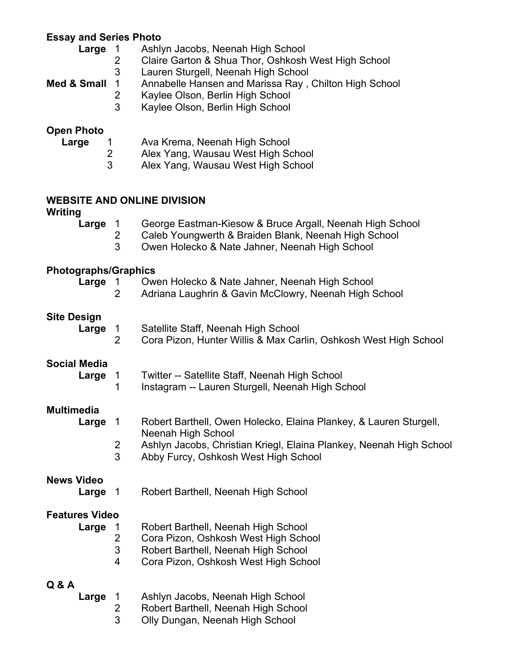# **Essay and Series Photo**

| Large<br>1<br>2<br>3<br>Med & Small<br>1<br>$\overline{c}$<br>3 | Ashlyn Jacobs, Neenah High School<br>Claire Garton & Shua Thor, Oshkosh West High School<br>Lauren Sturgell, Neenah High School<br>Annabelle Hansen and Marissa Ray, Chilton High School<br>Kaylee Olson, Berlin High School<br>Kaylee Olson, Berlin High School |
|-----------------------------------------------------------------|------------------------------------------------------------------------------------------------------------------------------------------------------------------------------------------------------------------------------------------------------------------|
| <b>Open Photo</b><br>Large<br>1<br>$\overline{2}$<br>3          | Ava Krema, Neenah High School<br>Alex Yang, Wausau West High School<br>Alex Yang, Wausau West High School                                                                                                                                                        |
| Writing                                                         | <b>WEBSITE AND ONLINE DIVISION</b>                                                                                                                                                                                                                               |
| Large<br>$\overline{1}$<br>3                                    | George Eastman-Kiesow & Bruce Argall, Neenah High School<br>2<br>Caleb Youngwerth & Braiden Blank, Neenah High School<br>Owen Holecko & Nate Jahner, Neenah High School                                                                                          |
| <b>Photographs/Graphics</b><br>Large<br>$\mathbf{1}$            | Owen Holecko & Nate Jahner, Neenah High School                                                                                                                                                                                                                   |
| $\overline{2}$                                                  | Adriana Laughrin & Gavin McClowry, Neenah High School                                                                                                                                                                                                            |
| <b>Site Design</b><br>Large<br>$\mathbf{1}$                     | Satellite Staff, Neenah High School<br>$\overline{2}$<br>Cora Pizon, Hunter Willis & Max Carlin, Oshkosh West High School                                                                                                                                        |
| <b>Social Media</b><br>Large<br>$\mathbf{1}$<br>1               | Twitter -- Satellite Staff, Neenah High School<br>Instagram -- Lauren Sturgell, Neenah High School                                                                                                                                                               |
| <b>Multimedia</b><br>$\mathbf{1}$<br>Large<br>$\frac{2}{3}$     | Robert Barthell, Owen Holecko, Elaina Plankey, & Lauren Sturgell,<br>Neenah High School<br>Ashlyn Jacobs, Christian Kriegl, Elaina Plankey, Neenah High School<br>Abby Furcy, Oshkosh West High School                                                           |
| <b>News Video</b><br>Large<br>$\overline{1}$                    | Robert Barthell, Neenah High School                                                                                                                                                                                                                              |
| <b>Features Video</b><br>Large<br>$\mathbf{1}$<br>3<br>4        | Robert Barthell, Neenah High School<br>$\overline{2}$<br>Cora Pizon, Oshkosh West High School<br>Robert Barthell, Neenah High School<br>Cora Pizon, Oshkosh West High School                                                                                     |
| Q & A                                                           |                                                                                                                                                                                                                                                                  |

 **Large** 1 Ashlyn Jacobs, Neenah High School 2 Robert Barthell, Neenah High School 3 Olly Dungan, Neenah High School